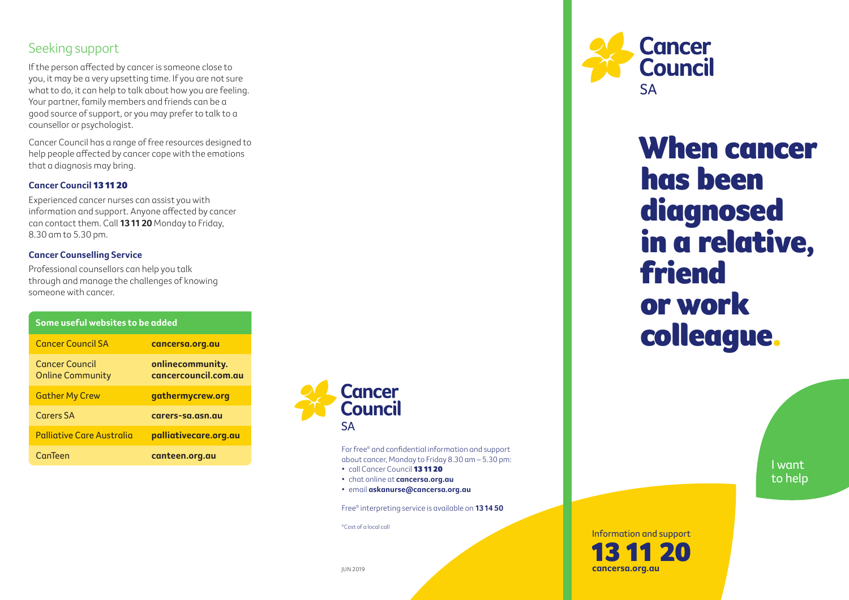### Seeking support

If the person affected by cancer is someone close to you, it may be a very upsetting time. If you are not sure what to do, it can help to talk about how you are feeling. Your partner, family members and friends can be a good source of support, or you may prefer to talk to a counsellor or psychologist.

Cancer Council has a range of free resources designed to help people affected by cancer cope with the emotions that a diagnosis may bring.

#### **Cancer Council** 13 11 20

Experienced cancer nurses can assist you with information and support. Anyone affected by cancer can contact them. Call **13 11 20** Monday to Friday, 8.30 am to 5.30 pm.

#### **Cancer Counselling Service**

Professional counsellors can help you talk through and manage the challenges of knowing someone with cancer.

| Some useful websites to be added          |                                          |
|-------------------------------------------|------------------------------------------|
| <b>Cancer Council SA</b>                  | cancersa.org.au                          |
| Cancer Council<br><b>Online Community</b> | onlinecommunity.<br>cancercouncil.com.au |
| <b>Gather My Crew</b>                     | gathermycrew.org                         |
| Carers SA                                 | carers-sa.asn.au                         |
| Palliative Care Australia                 | palliativecare.org.au                    |
| CanTeen                                   | canteen.org.au                           |



For free\* and confidential information and support about cancer, Monday to Friday 8.30 am – 5.30 pm:

- call Cancer Council 13 11 20
- chat online at **cancersa.org.au**
- email **askanurse@cancersa.org.au**

Free\* interpreting service is available on **13 14 50**

\*Cost of a local call



When cancer has been diagnosed in a relative, friend or work colleague.

> I want to help

### Information and support 13 11 20  **cancersa.org.au**